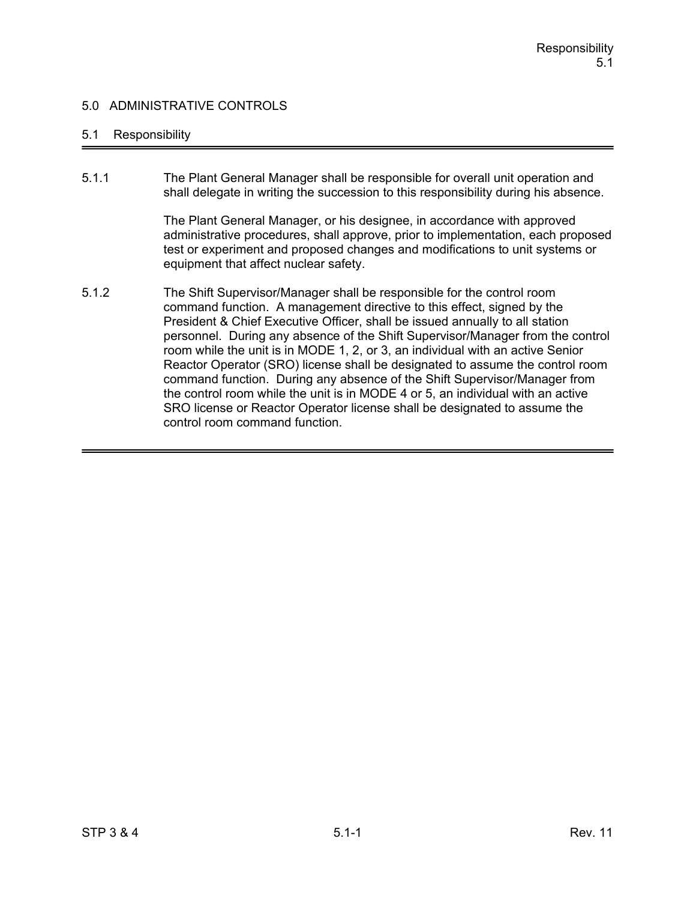### 5.1 Responsibility

5.1.1 The Plant General Manager shall be responsible for overall unit operation and shall delegate in writing the succession to this responsibility during his absence.

> The Plant General Manager, or his designee, in accordance with approved administrative procedures, shall approve, prior to implementation, each proposed test or experiment and proposed changes and modifications to unit systems or equipment that affect nuclear safety.

5.1.2 The Shift Supervisor/Manager shall be responsible for the control room command function. A management directive to this effect, signed by the President & Chief Executive Officer, shall be issued annually to all station personnel. During any absence of the Shift Supervisor/Manager from the control room while the unit is in MODE 1, 2, or 3, an individual with an active Senior Reactor Operator (SRO) license shall be designated to assume the control room command function. During any absence of the Shift Supervisor/Manager from the control room while the unit is in MODE 4 or 5, an individual with an active SRO license or Reactor Operator license shall be designated to assume the control room command function.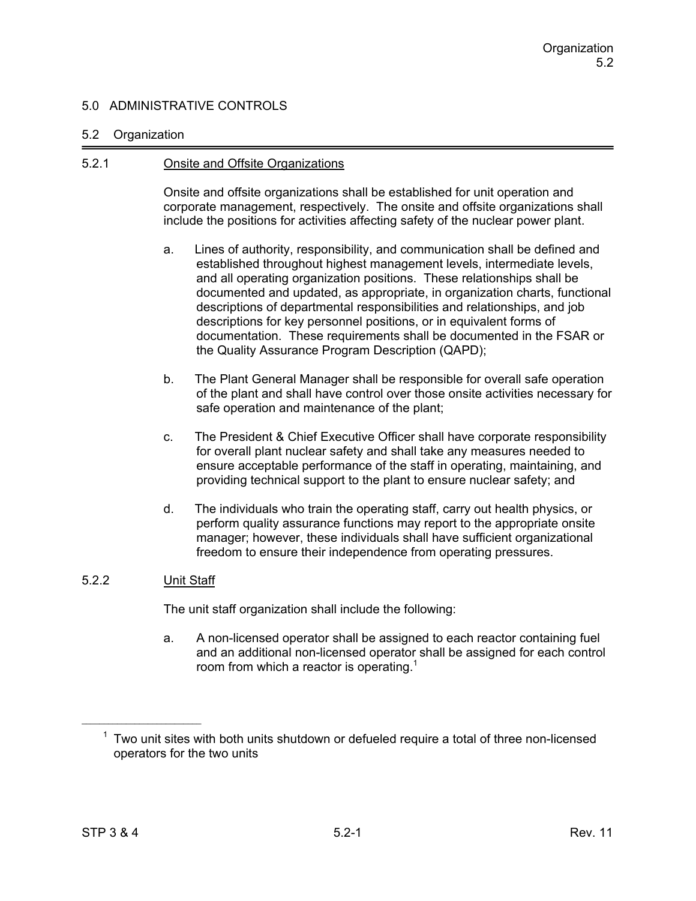### 5.2 Organization

### 5.2.1 Onsite and Offsite Organizations

Onsite and offsite organizations shall be established for unit operation and corporate management, respectively. The onsite and offsite organizations shall include the positions for activities affecting safety of the nuclear power plant.

- a. Lines of authority, responsibility, and communication shall be defined and established throughout highest management levels, intermediate levels, and all operating organization positions. These relationships shall be documented and updated, as appropriate, in organization charts, functional descriptions of departmental responsibilities and relationships, and job descriptions for key personnel positions, or in equivalent forms of documentation. These requirements shall be documented in the FSAR or the Quality Assurance Program Description (QAPD);
- b. The Plant General Manager shall be responsible for overall safe operation of the plant and shall have control over those onsite activities necessary for safe operation and maintenance of the plant;
- c. The President & Chief Executive Officer shall have corporate responsibility for overall plant nuclear safety and shall take any measures needed to ensure acceptable performance of the staff in operating, maintaining, and providing technical support to the plant to ensure nuclear safety; and
- d. The individuals who train the operating staff, carry out health physics, or perform quality assurance functions may report to the appropriate onsite manager; however, these individuals shall have sufficient organizational freedom to ensure their independence from operating pressures.

# 5.2.2 Unit Staff

The unit staff organization shall include the following:

a. A non-licensed operator shall be assigned to each reactor containing fuel and an additional non-licensed operator shall be assigned for each control room from which a reactor is operating.<sup>1</sup>

 $1$  Two unit sites with both units shutdown or defueled require a total of three non-licensed operators for the two units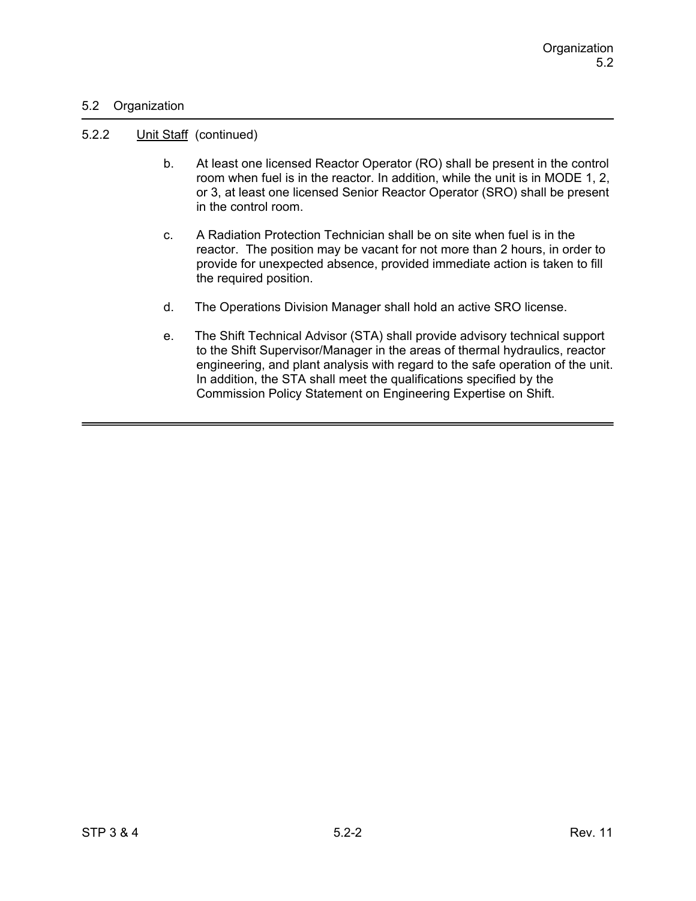### 5.2 Organization

#### 5.2.2 Unit Staff (continued)

- b. At least one licensed Reactor Operator (RO) shall be present in the control room when fuel is in the reactor. In addition, while the unit is in MODE 1, 2, or 3, at least one licensed Senior Reactor Operator (SRO) shall be present in the control room.
- c. A Radiation Protection Technician shall be on site when fuel is in the reactor. The position may be vacant for not more than 2 hours, in order to provide for unexpected absence, provided immediate action is taken to fill the required position.
- d. The Operations Division Manager shall hold an active SRO license.
- e. The Shift Technical Advisor (STA) shall provide advisory technical support to the Shift Supervisor/Manager in the areas of thermal hydraulics, reactor engineering, and plant analysis with regard to the safe operation of the unit. In addition, the STA shall meet the qualifications specified by the Commission Policy Statement on Engineering Expertise on Shift.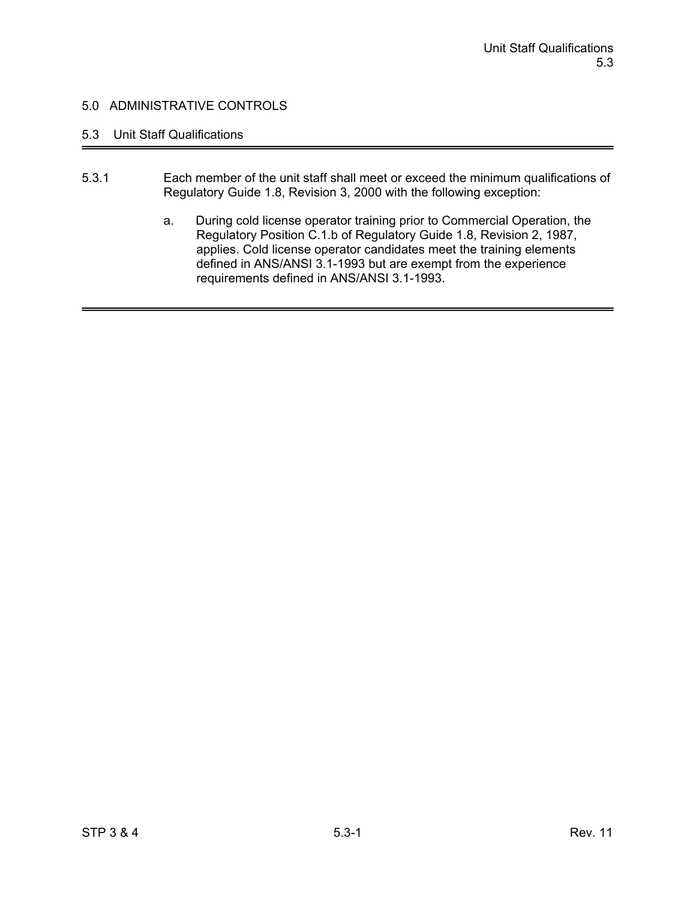# 5.3 Unit Staff Qualifications

- 5.3.1 Each member of the unit staff shall meet or exceed the minimum qualifications of Regulatory Guide 1.8, Revision 3, 2000 with the following exception:
	- a. During cold license operator training prior to Commercial Operation, the Regulatory Position C.1.b of Regulatory Guide 1.8, Revision 2, 1987, applies. Cold license operator candidates meet the training elements defined in ANS/ANSI 3.1-1993 but are exempt from the experience requirements defined in ANS/ANSI 3.1-1993.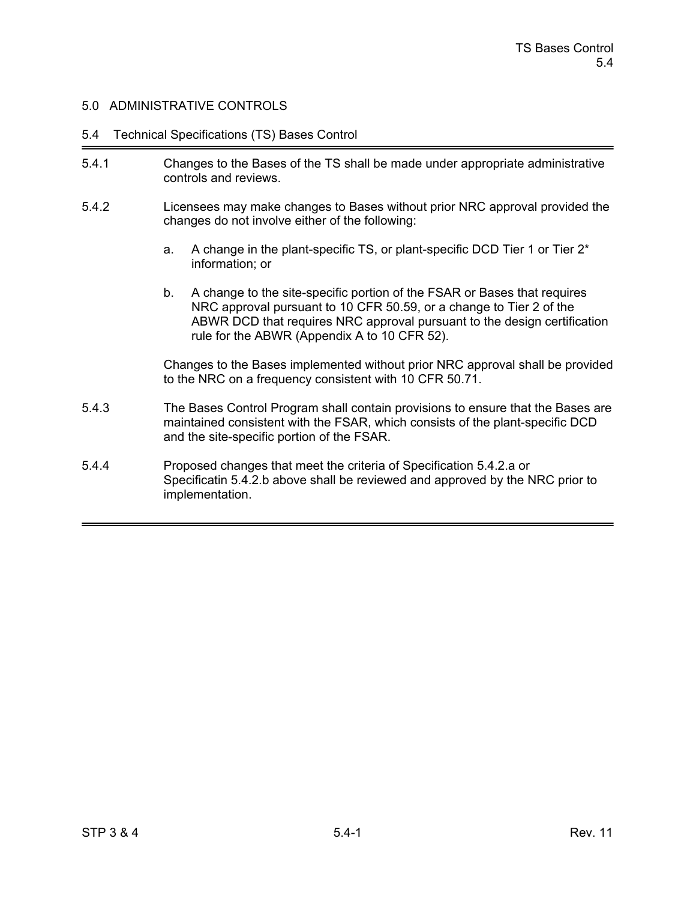#### 5.4 Technical Specifications (TS) Bases Control

- 5.4.1 Changes to the Bases of the TS shall be made under appropriate administrative controls and reviews.
- 5.4.2 Licensees may make changes to Bases without prior NRC approval provided the changes do not involve either of the following:
	- a. A change in the plant-specific TS, or plant-specific DCD Tier 1 or Tier 2\* information; or
	- b. A change to the site-specific portion of the FSAR or Bases that requires NRC approval pursuant to 10 CFR 50.59, or a change to Tier 2 of the ABWR DCD that requires NRC approval pursuant to the design certification rule for the ABWR (Appendix A to 10 CFR 52).

Changes to the Bases implemented without prior NRC approval shall be provided to the NRC on a frequency consistent with 10 CFR 50.71.

- 5.4.3 The Bases Control Program shall contain provisions to ensure that the Bases are maintained consistent with the FSAR, which consists of the plant-specific DCD and the site-specific portion of the FSAR.
- 5.4.4 Proposed changes that meet the criteria of Specification 5.4.2.a or Specificatin 5.4.2.b above shall be reviewed and approved by the NRC prior to implementation.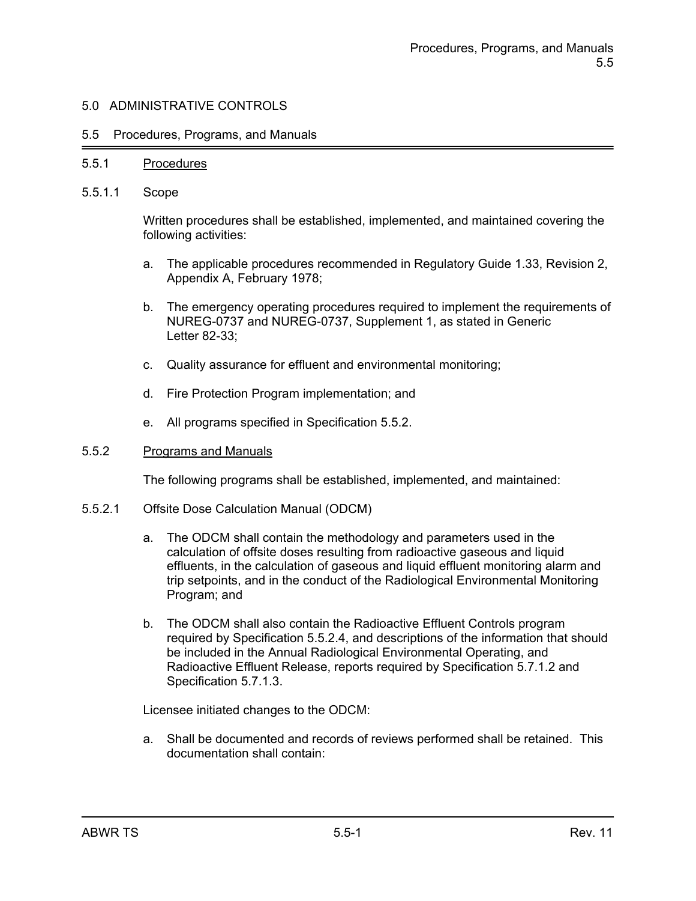#### 5.5 Procedures, Programs, and Manuals

#### 5.5.1 Procedures

5.5.1.1 Scope

Written procedures shall be established, implemented, and maintained covering the following activities:

- a. The applicable procedures recommended in Regulatory Guide 1.33, Revision 2, Appendix A, February 1978;
- b. The emergency operating procedures required to implement the requirements of NUREG-0737 and NUREG-0737, Supplement 1, as stated in Generic Letter 82-33;
- c. Quality assurance for effluent and environmental monitoring;
- d. Fire Protection Program implementation; and
- e. All programs specified in Specification 5.5.2.

#### 5.5.2 Programs and Manuals

The following programs shall be established, implemented, and maintained:

- 5.5.2.1 Offsite Dose Calculation Manual (ODCM)
	- a. The ODCM shall contain the methodology and parameters used in the calculation of offsite doses resulting from radioactive gaseous and liquid effluents, in the calculation of gaseous and liquid effluent monitoring alarm and trip setpoints, and in the conduct of the Radiological Environmental Monitoring Program; and
	- b. The ODCM shall also contain the Radioactive Effluent Controls program required by Specification 5.5.2.4, and descriptions of the information that should be included in the Annual Radiological Environmental Operating, and Radioactive Effluent Release, reports required by Specification 5.7.1.2 and Specification 5.7.1.3.

Licensee initiated changes to the ODCM:

a. Shall be documented and records of reviews performed shall be retained. This documentation shall contain: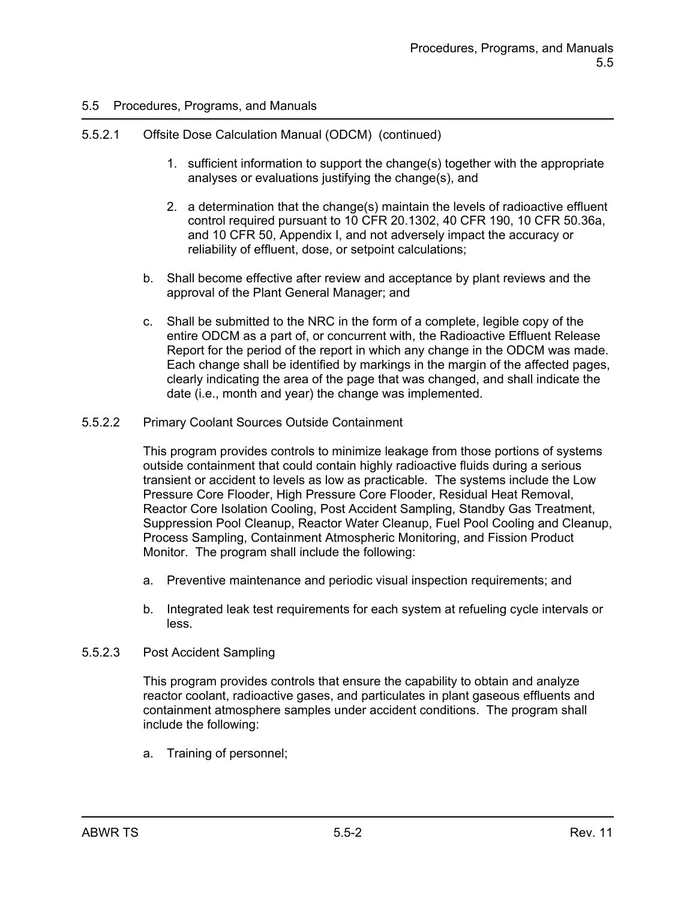# 5.5.2.1 Offsite Dose Calculation Manual (ODCM) (continued)

- 1. sufficient information to support the change(s) together with the appropriate analyses or evaluations justifying the change(s), and
- 2. a determination that the change(s) maintain the levels of radioactive effluent control required pursuant to 10 CFR 20.1302, 40 CFR 190, 10 CFR 50.36a, and 10 CFR 50, Appendix I, and not adversely impact the accuracy or reliability of effluent, dose, or setpoint calculations;
- b. Shall become effective after review and acceptance by plant reviews and the approval of the Plant General Manager; and
- c. Shall be submitted to the NRC in the form of a complete, legible copy of the entire ODCM as a part of, or concurrent with, the Radioactive Effluent Release Report for the period of the report in which any change in the ODCM was made. Each change shall be identified by markings in the margin of the affected pages, clearly indicating the area of the page that was changed, and shall indicate the date (i.e., month and year) the change was implemented.
- 5.5.2.2 Primary Coolant Sources Outside Containment

This program provides controls to minimize leakage from those portions of systems outside containment that could contain highly radioactive fluids during a serious transient or accident to levels as low as practicable. The systems include the Low Pressure Core Flooder, High Pressure Core Flooder, Residual Heat Removal, Reactor Core Isolation Cooling, Post Accident Sampling, Standby Gas Treatment, Suppression Pool Cleanup, Reactor Water Cleanup, Fuel Pool Cooling and Cleanup, Process Sampling, Containment Atmospheric Monitoring, and Fission Product Monitor. The program shall include the following:

- a. Preventive maintenance and periodic visual inspection requirements; and
- b. Integrated leak test requirements for each system at refueling cycle intervals or less.
- 5.5.2.3 Post Accident Sampling

This program provides controls that ensure the capability to obtain and analyze reactor coolant, radioactive gases, and particulates in plant gaseous effluents and containment atmosphere samples under accident conditions. The program shall include the following:

a. Training of personnel;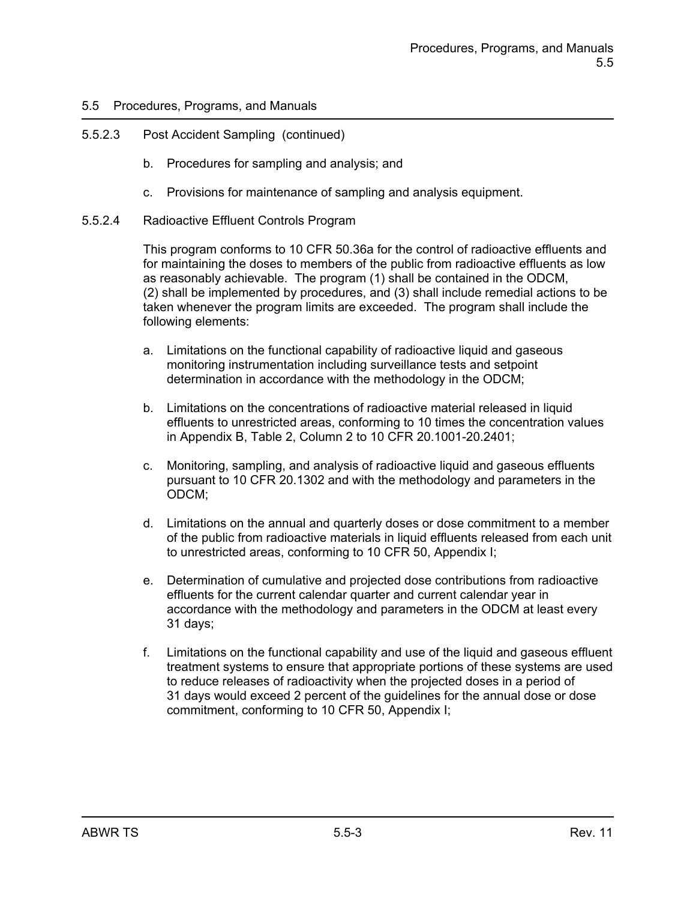# 5.5.2.3 Post Accident Sampling (continued)

- b. Procedures for sampling and analysis; and
- c. Provisions for maintenance of sampling and analysis equipment.
- 5.5.2.4 Radioactive Effluent Controls Program

This program conforms to 10 CFR 50.36a for the control of radioactive effluents and for maintaining the doses to members of the public from radioactive effluents as low as reasonably achievable. The program (1) shall be contained in the ODCM, (2) shall be implemented by procedures, and (3) shall include remedial actions to be taken whenever the program limits are exceeded. The program shall include the following elements:

- a. Limitations on the functional capability of radioactive liquid and gaseous monitoring instrumentation including surveillance tests and setpoint determination in accordance with the methodology in the ODCM;
- b. Limitations on the concentrations of radioactive material released in liquid effluents to unrestricted areas, conforming to 10 times the concentration values in Appendix B, Table 2, Column 2 to 10 CFR 20.1001-20.2401;
- c. Monitoring, sampling, and analysis of radioactive liquid and gaseous effluents pursuant to 10 CFR 20.1302 and with the methodology and parameters in the ODCM;
- d. Limitations on the annual and quarterly doses or dose commitment to a member of the public from radioactive materials in liquid effluents released from each unit to unrestricted areas, conforming to 10 CFR 50, Appendix I;
- e. Determination of cumulative and projected dose contributions from radioactive effluents for the current calendar quarter and current calendar year in accordance with the methodology and parameters in the ODCM at least every 31 days;
- f. Limitations on the functional capability and use of the liquid and gaseous effluent treatment systems to ensure that appropriate portions of these systems are used to reduce releases of radioactivity when the projected doses in a period of 31 days would exceed 2 percent of the guidelines for the annual dose or dose commitment, conforming to 10 CFR 50, Appendix I;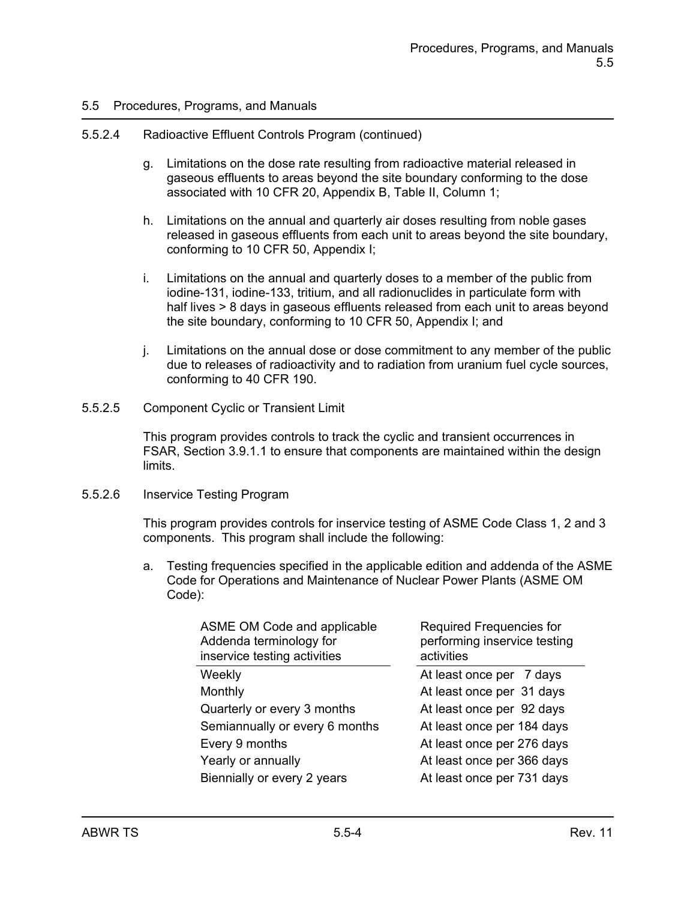#### 5.5.2.4 Radioactive Effluent Controls Program (continued)

- g. Limitations on the dose rate resulting from radioactive material released in gaseous effluents to areas beyond the site boundary conforming to the dose associated with 10 CFR 20, Appendix B, Table II, Column 1;
- h. Limitations on the annual and quarterly air doses resulting from noble gases released in gaseous effluents from each unit to areas beyond the site boundary, conforming to 10 CFR 50, Appendix I;
- i. Limitations on the annual and quarterly doses to a member of the public from iodine-131, iodine-133, tritium, and all radionuclides in particulate form with half lives > 8 days in gaseous effluents released from each unit to areas beyond the site boundary, conforming to 10 CFR 50, Appendix I; and
- j. Limitations on the annual dose or dose commitment to any member of the public due to releases of radioactivity and to radiation from uranium fuel cycle sources, conforming to 40 CFR 190.
- 5.5.2.5 Component Cyclic or Transient Limit

This program provides controls to track the cyclic and transient occurrences in FSAR, Section 3.9.1.1 to ensure that components are maintained within the design limits.

#### 5.5.2.6 Inservice Testing Program

This program provides controls for inservice testing of ASME Code Class 1, 2 and 3 components. This program shall include the following:

a. Testing frequencies specified in the applicable edition and addenda of the ASME Code for Operations and Maintenance of Nuclear Power Plants (ASME OM Code):

| ASME OM Code and applicable<br>Addenda terminology for<br>inservice testing activities | Required Frequencies for<br>performing inservice testing<br>activities |
|----------------------------------------------------------------------------------------|------------------------------------------------------------------------|
| Weekly                                                                                 | At least once per 7 days                                               |
| Monthly                                                                                | At least once per 31 days                                              |
| Quarterly or every 3 months                                                            | At least once per 92 days                                              |
| Semiannually or every 6 months                                                         | At least once per 184 days                                             |
| Every 9 months                                                                         | At least once per 276 days                                             |
| Yearly or annually                                                                     | At least once per 366 days                                             |
| Biennially or every 2 years                                                            | At least once per 731 days                                             |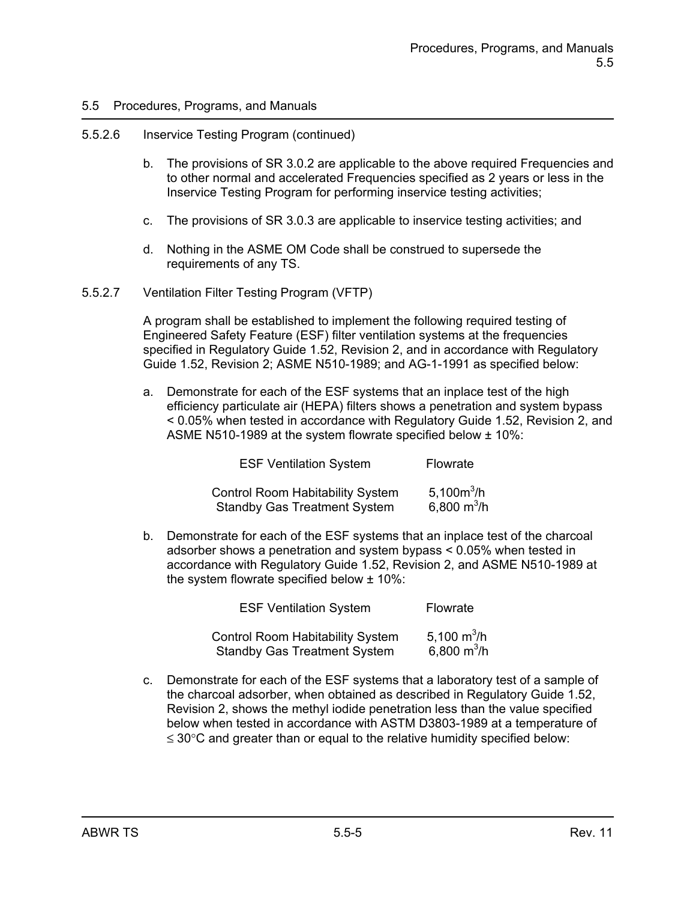#### 5.5.2.6 Inservice Testing Program (continued)

- b. The provisions of SR 3.0.2 are applicable to the above required Frequencies and to other normal and accelerated Frequencies specified as 2 years or less in the Inservice Testing Program for performing inservice testing activities;
- c. The provisions of SR 3.0.3 are applicable to inservice testing activities; and
- d. Nothing in the ASME OM Code shall be construed to supersede the requirements of any TS.
- 5.5.2.7 Ventilation Filter Testing Program (VFTP)

A program shall be established to implement the following required testing of Engineered Safety Feature (ESF) filter ventilation systems at the frequencies specified in Regulatory Guide 1.52, Revision 2, and in accordance with Regulatory Guide 1.52, Revision 2; ASME N510-1989; and AG-1-1991 as specified below:

a. Demonstrate for each of the ESF systems that an inplace test of the high efficiency particulate air (HEPA) filters shows a penetration and system bypass < 0.05% when tested in accordance with Regulatory Guide 1.52, Revision 2, and ASME N510-1989 at the system flowrate specified below ± 10%:

| <b>ESF Ventilation System</b>           | Flowrate      |
|-----------------------------------------|---------------|
| <b>Control Room Habitability System</b> | 5,100 $m^3/h$ |
| <b>Standby Gas Treatment System</b>     | 6,800 $m^3/h$ |

b. Demonstrate for each of the ESF systems that an inplace test of the charcoal adsorber shows a penetration and system bypass < 0.05% when tested in accordance with Regulatory Guide 1.52, Revision 2, and ASME N510-1989 at the system flowrate specified below ± 10%:

| <b>ESF Ventilation System</b>                                                  | Flowrate                       |
|--------------------------------------------------------------------------------|--------------------------------|
| <b>Control Room Habitability System</b><br><b>Standby Gas Treatment System</b> | 5,100 $m^3/h$<br>6,800 $m^3/h$ |

c. Demonstrate for each of the ESF systems that a laboratory test of a sample of the charcoal adsorber, when obtained as described in Regulatory Guide 1.52, Revision 2, shows the methyl iodide penetration less than the value specified below when tested in accordance with ASTM D3803-1989 at a temperature of  $\leq$  30 $\degree$ C and greater than or equal to the relative humidity specified below: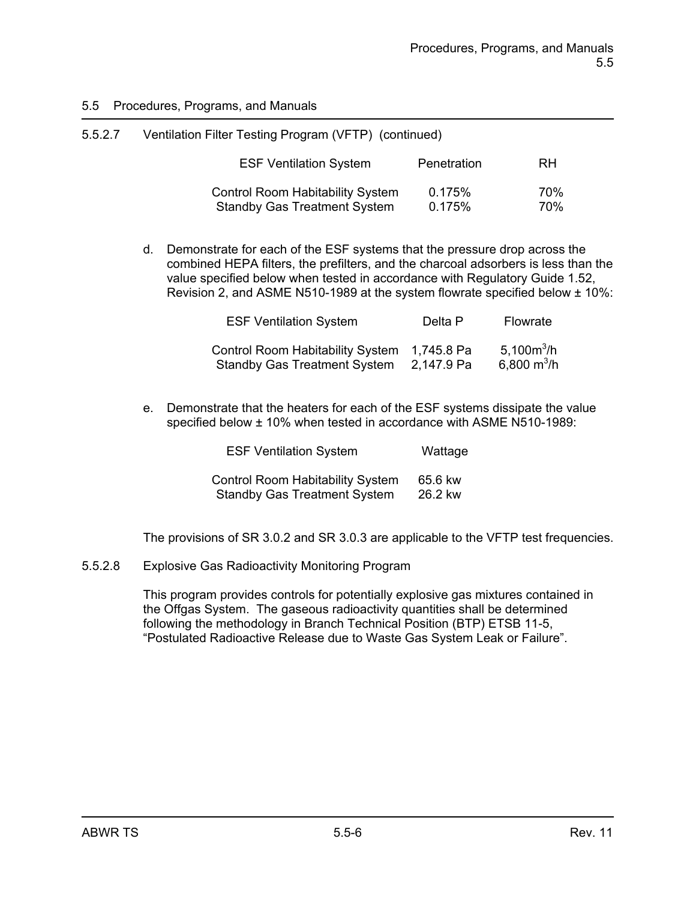| 5.5.2.7 | Ventilation Filter Testing Program (VFTP) (continued)                          |                  |            |
|---------|--------------------------------------------------------------------------------|------------------|------------|
|         | <b>ESF Ventilation System</b>                                                  | Penetration      | <b>RH</b>  |
|         | <b>Control Room Habitability System</b><br><b>Standby Gas Treatment System</b> | 0.175%<br>0.175% | 70%<br>70% |

d. Demonstrate for each of the ESF systems that the pressure drop across the combined HEPA filters, the prefilters, and the charcoal adsorbers is less than the value specified below when tested in accordance with Regulatory Guide 1.52, Revision 2, and ASME N510-1989 at the system flowrate specified below ± 10%:

| <b>ESF Ventilation System</b>                                               | Delta P    | Flowrate                                 |
|-----------------------------------------------------------------------------|------------|------------------------------------------|
| Control Room Habitability System 1,745.8 Pa<br>Standby Gas Treatment System | 2,147.9 Pa | 5,100 $m^3/h$<br>6,800 m <sup>3</sup> /h |

e. Demonstrate that the heaters for each of the ESF systems dissipate the value specified below ± 10% when tested in accordance with ASME N510-1989:

| <b>ESF Ventilation System</b>           | Wattage |  |
|-----------------------------------------|---------|--|
| <b>Control Room Habitability System</b> | 65.6 kw |  |
| <b>Standby Gas Treatment System</b>     | 26.2 kw |  |

The provisions of SR 3.0.2 and SR 3.0.3 are applicable to the VFTP test frequencies.

5.5.2.8 Explosive Gas Radioactivity Monitoring Program

This program provides controls for potentially explosive gas mixtures contained in the Offgas System. The gaseous radioactivity quantities shall be determined following the methodology in Branch Technical Position (BTP) ETSB 11-5, "Postulated Radioactive Release due to Waste Gas System Leak or Failure".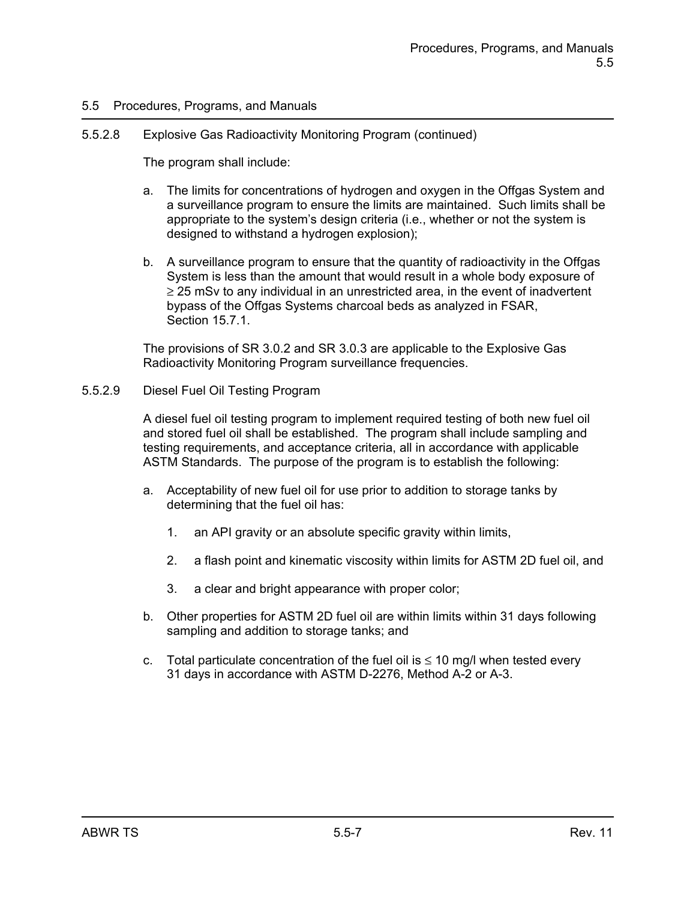### 5.5.2.8 Explosive Gas Radioactivity Monitoring Program (continued)

The program shall include:

- a. The limits for concentrations of hydrogen and oxygen in the Offgas System and a surveillance program to ensure the limits are maintained. Such limits shall be appropriate to the system's design criteria (i.e., whether or not the system is designed to withstand a hydrogen explosion);
- b. A surveillance program to ensure that the quantity of radioactivity in the Offgas System is less than the amount that would result in a whole body exposure of  $\geq$  25 mSv to any individual in an unrestricted area, in the event of inadvertent bypass of the Offgas Systems charcoal beds as analyzed in FSAR, Section 15.7.1.

The provisions of SR 3.0.2 and SR 3.0.3 are applicable to the Explosive Gas Radioactivity Monitoring Program surveillance frequencies.

### 5.5.2.9 Diesel Fuel Oil Testing Program

A diesel fuel oil testing program to implement required testing of both new fuel oil and stored fuel oil shall be established. The program shall include sampling and testing requirements, and acceptance criteria, all in accordance with applicable ASTM Standards. The purpose of the program is to establish the following:

- a. Acceptability of new fuel oil for use prior to addition to storage tanks by determining that the fuel oil has:
	- 1. an API gravity or an absolute specific gravity within limits,
	- 2. a flash point and kinematic viscosity within limits for ASTM 2D fuel oil, and
	- 3. a clear and bright appearance with proper color;
- b. Other properties for ASTM 2D fuel oil are within limits within 31 days following sampling and addition to storage tanks; and
- c. Total particulate concentration of the fuel oil is  $\leq 10$  mg/l when tested every 31 days in accordance with ASTM D-2276, Method A-2 or A-3.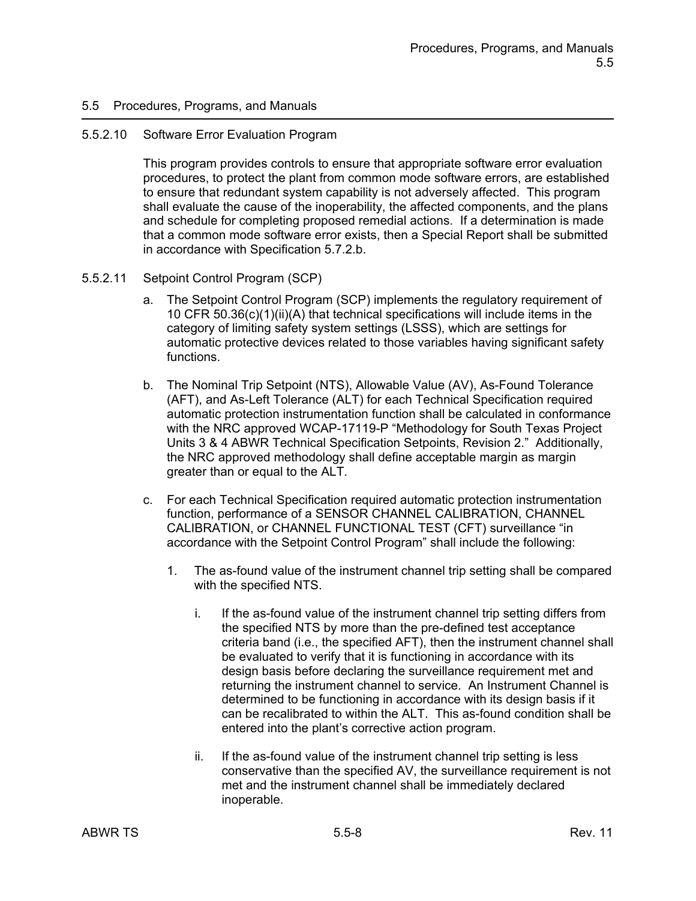#### 5.5.2.10 Software Error Evaluation Program

This program provides controls to ensure that appropriate software error evaluation procedures, to protect the plant from common mode software errors, are established to ensure that redundant system capability is not adversely affected. This program shall evaluate the cause of the inoperability, the affected components, and the plans and schedule for completing proposed remedial actions. If a determination is made that a common mode software error exists, then a Special Report shall be submitted in accordance with Specification 5.7.2.b.

### 5.5.2.11 Setpoint Control Program (SCP)

- a. The Setpoint Control Program (SCP) implements the regulatory requirement of 10 CFR 50.36(c)(1)(ii)(A) that technical specifications will include items in the category of limiting safety system settings (LSSS), which are settings for automatic protective devices related to those variables having significant safety functions.
- b. The Nominal Trip Setpoint (NTS), Allowable Value (AV), As-Found Tolerance (AFT), and As-Left Tolerance (ALT) for each Technical Specification required automatic protection instrumentation function shall be calculated in conformance with the NRC approved WCAP-17119-P "Methodology for South Texas Project Units 3 & 4 ABWR Technical Specification Setpoints, Revision 2." Additionally, the NRC approved methodology shall define acceptable margin as margin greater than or equal to the ALT.
- c. For each Technical Specification required automatic protection instrumentation function, performance of a SENSOR CHANNEL CALIBRATION, CHANNEL CALIBRATION, or CHANNEL FUNCTIONAL TEST (CFT) surveillance "in accordance with the Setpoint Control Program" shall include the following:
	- 1. The as-found value of the instrument channel trip setting shall be compared with the specified NTS.
		- i. If the as-found value of the instrument channel trip setting differs from the specified NTS by more than the pre-defined test acceptance criteria band (i.e., the specified AFT), then the instrument channel shall be evaluated to verify that it is functioning in accordance with its design basis before declaring the surveillance requirement met and returning the instrument channel to service. An Instrument Channel is determined to be functioning in accordance with its design basis if it can be recalibrated to within the ALT. This as-found condition shall be entered into the plant's corrective action program.
		- ii. If the as-found value of the instrument channel trip setting is less conservative than the specified AV, the surveillance requirement is not met and the instrument channel shall be immediately declared inoperable.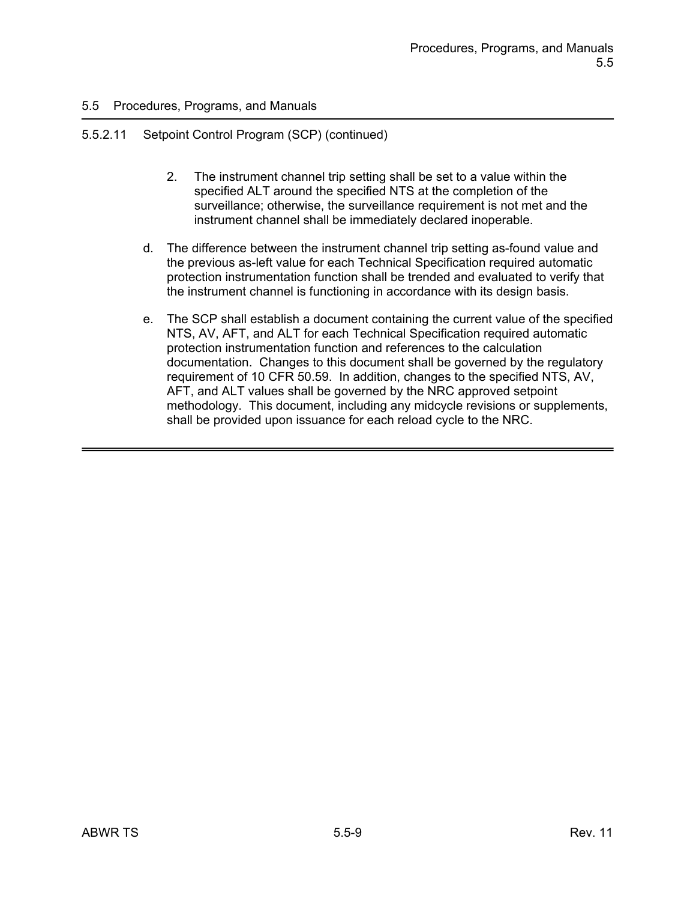# 5.5.2.11 Setpoint Control Program (SCP) (continued)

- 2. The instrument channel trip setting shall be set to a value within the specified ALT around the specified NTS at the completion of the surveillance; otherwise, the surveillance requirement is not met and the instrument channel shall be immediately declared inoperable.
- d. The difference between the instrument channel trip setting as-found value and the previous as-left value for each Technical Specification required automatic protection instrumentation function shall be trended and evaluated to verify that the instrument channel is functioning in accordance with its design basis.
- e. The SCP shall establish a document containing the current value of the specified NTS, AV, AFT, and ALT for each Technical Specification required automatic protection instrumentation function and references to the calculation documentation. Changes to this document shall be governed by the regulatory requirement of 10 CFR 50.59. In addition, changes to the specified NTS, AV, AFT, and ALT values shall be governed by the NRC approved setpoint methodology. This document, including any midcycle revisions or supplements, shall be provided upon issuance for each reload cycle to the NRC.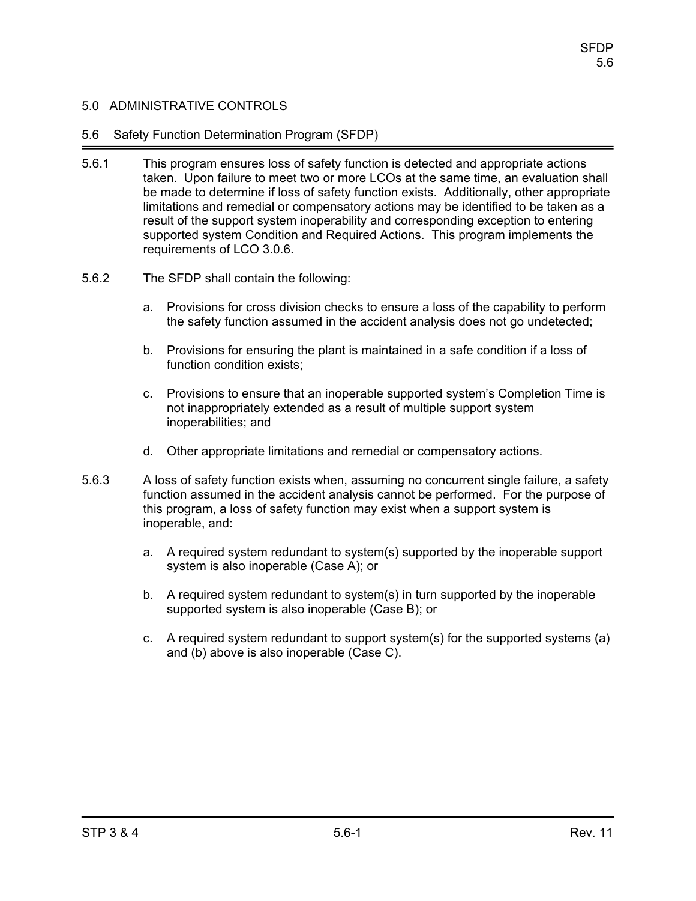### 5.6 Safety Function Determination Program (SFDP)

- 5.6.1 This program ensures loss of safety function is detected and appropriate actions taken. Upon failure to meet two or more LCOs at the same time, an evaluation shall be made to determine if loss of safety function exists. Additionally, other appropriate limitations and remedial or compensatory actions may be identified to be taken as a result of the support system inoperability and corresponding exception to entering supported system Condition and Required Actions. This program implements the requirements of LCO 3.0.6.
- 5.6.2 The SFDP shall contain the following:
	- a. Provisions for cross division checks to ensure a loss of the capability to perform the safety function assumed in the accident analysis does not go undetected;
	- b. Provisions for ensuring the plant is maintained in a safe condition if a loss of function condition exists;
	- c. Provisions to ensure that an inoperable supported system's Completion Time is not inappropriately extended as a result of multiple support system inoperabilities; and
	- d. Other appropriate limitations and remedial or compensatory actions.
- 5.6.3 A loss of safety function exists when, assuming no concurrent single failure, a safety function assumed in the accident analysis cannot be performed. For the purpose of this program, a loss of safety function may exist when a support system is inoperable, and:
	- a. A required system redundant to system(s) supported by the inoperable support system is also inoperable (Case A); or
	- b. A required system redundant to system(s) in turn supported by the inoperable supported system is also inoperable (Case B); or
	- c. A required system redundant to support system(s) for the supported systems (a) and (b) above is also inoperable (Case C).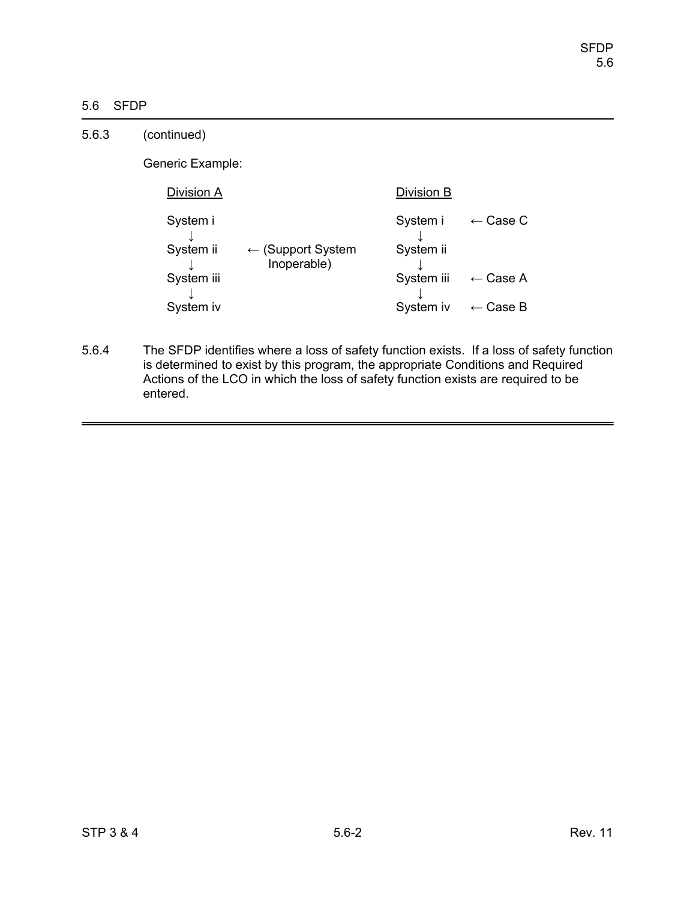# 5.6 SFDP

| 5.6.3 | (continued)           |                                             |                       |                     |
|-------|-----------------------|---------------------------------------------|-----------------------|---------------------|
|       | Generic Example:      |                                             |                       |                     |
|       | Division A            |                                             | Division B            |                     |
|       | System i<br>System ii | $\leftarrow$ (Support System<br>Inoperable) | System i<br>System ii | $\leftarrow$ Case C |
|       | System iii            |                                             | System iii            | $\leftarrow$ Case A |
|       | System iv             |                                             | System iv             | $\leftarrow$ Case B |

5.6.4 The SFDP identifies where a loss of safety function exists. If a loss of safety function is determined to exist by this program, the appropriate Conditions and Required Actions of the LCO in which the loss of safety function exists are required to be entered.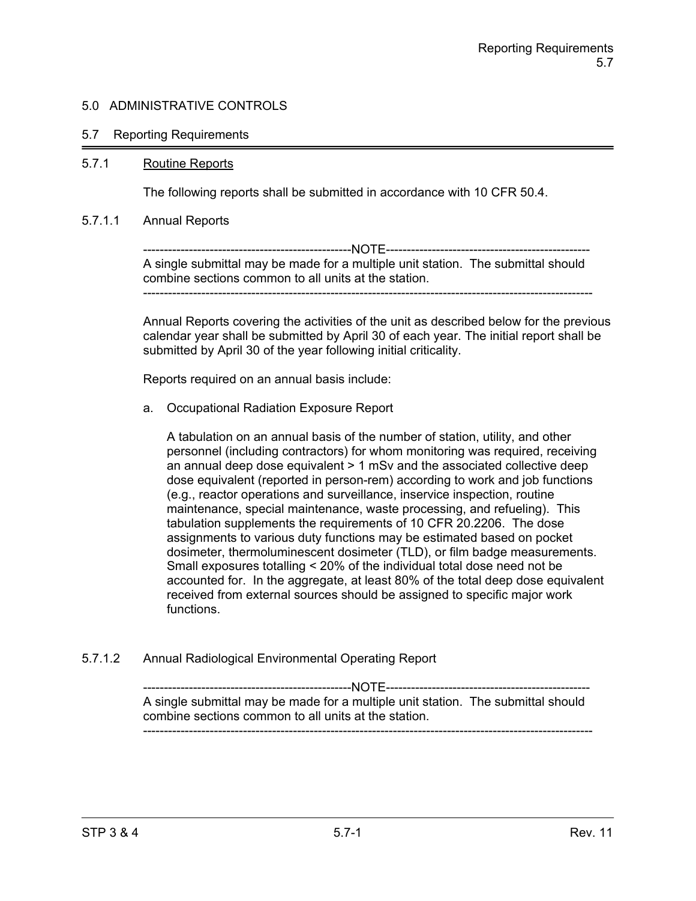#### 5.7 Reporting Requirements

#### 5.7.1 Routine Reports

The following reports shall be submitted in accordance with 10 CFR 50.4.

#### 5.7.1.1 Annual Reports

--------------------------------------------------NOTE------------------------------------------------- A single submittal may be made for a multiple unit station. The submittal should combine sections common to all units at the station. ------------------------------------------------------------------------------------------------------------

Annual Reports covering the activities of the unit as described below for the previous calendar year shall be submitted by April 30 of each year. The initial report shall be submitted by April 30 of the year following initial criticality.

Reports required on an annual basis include:

a. Occupational Radiation Exposure Report

A tabulation on an annual basis of the number of station, utility, and other personnel (including contractors) for whom monitoring was required, receiving an annual deep dose equivalent > 1 mSv and the associated collective deep dose equivalent (reported in person-rem) according to work and job functions (e.g., reactor operations and surveillance, inservice inspection, routine maintenance, special maintenance, waste processing, and refueling). This tabulation supplements the requirements of 10 CFR 20.2206. The dose assignments to various duty functions may be estimated based on pocket dosimeter, thermoluminescent dosimeter (TLD), or film badge measurements. Small exposures totalling < 20% of the individual total dose need not be accounted for. In the aggregate, at least 80% of the total deep dose equivalent received from external sources should be assigned to specific major work functions.

5.7.1.2 Annual Radiological Environmental Operating Report

--------------------------------------------------NOTE------------------------------------------------- A single submittal may be made for a multiple unit station. The submittal should combine sections common to all units at the station. ------------------------------------------------------------------------------------------------------------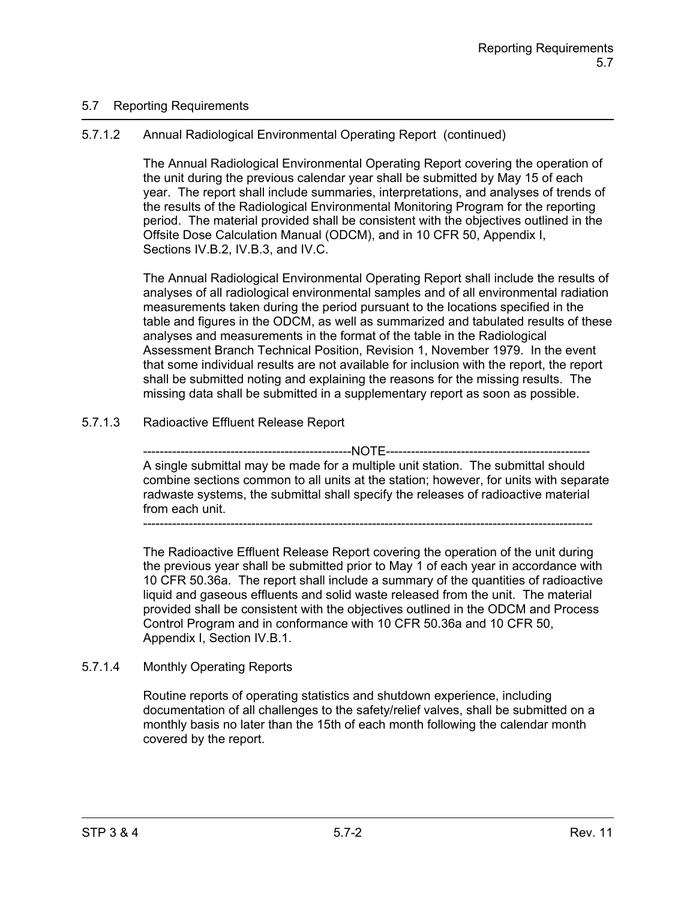# 5.7 Reporting Requirements

# 5.7.1.2 Annual Radiological Environmental Operating Report (continued)

The Annual Radiological Environmental Operating Report covering the operation of the unit during the previous calendar year shall be submitted by May 15 of each year. The report shall include summaries, interpretations, and analyses of trends of the results of the Radiological Environmental Monitoring Program for the reporting period. The material provided shall be consistent with the objectives outlined in the Offsite Dose Calculation Manual (ODCM), and in 10 CFR 50, Appendix I, Sections IV.B.2, IV.B.3, and IV.C.

The Annual Radiological Environmental Operating Report shall include the results of analyses of all radiological environmental samples and of all environmental radiation measurements taken during the period pursuant to the locations specified in the table and figures in the ODCM, as well as summarized and tabulated results of these analyses and measurements in the format of the table in the Radiological Assessment Branch Technical Position, Revision 1, November 1979. In the event that some individual results are not available for inclusion with the report, the report shall be submitted noting and explaining the reasons for the missing results. The missing data shall be submitted in a supplementary report as soon as possible.

# 5.7.1.3 Radioactive Effluent Release Report

--------------NOTE-------------A single submittal may be made for a multiple unit station. The submittal should combine sections common to all units at the station; however, for units with separate radwaste systems, the submittal shall specify the releases of radioactive material from each unit.

------------------------------------------------------------------------------------------------------------

The Radioactive Effluent Release Report covering the operation of the unit during the previous year shall be submitted prior to May 1 of each year in accordance with 10 CFR 50.36a. The report shall include a summary of the quantities of radioactive liquid and gaseous effluents and solid waste released from the unit. The material provided shall be consistent with the objectives outlined in the ODCM and Process Control Program and in conformance with 10 CFR 50.36a and 10 CFR 50, Appendix I, Section IV.B.1.

# 5.7.1.4 Monthly Operating Reports

Routine reports of operating statistics and shutdown experience, including documentation of all challenges to the safety/relief valves, shall be submitted on a monthly basis no later than the 15th of each month following the calendar month covered by the report.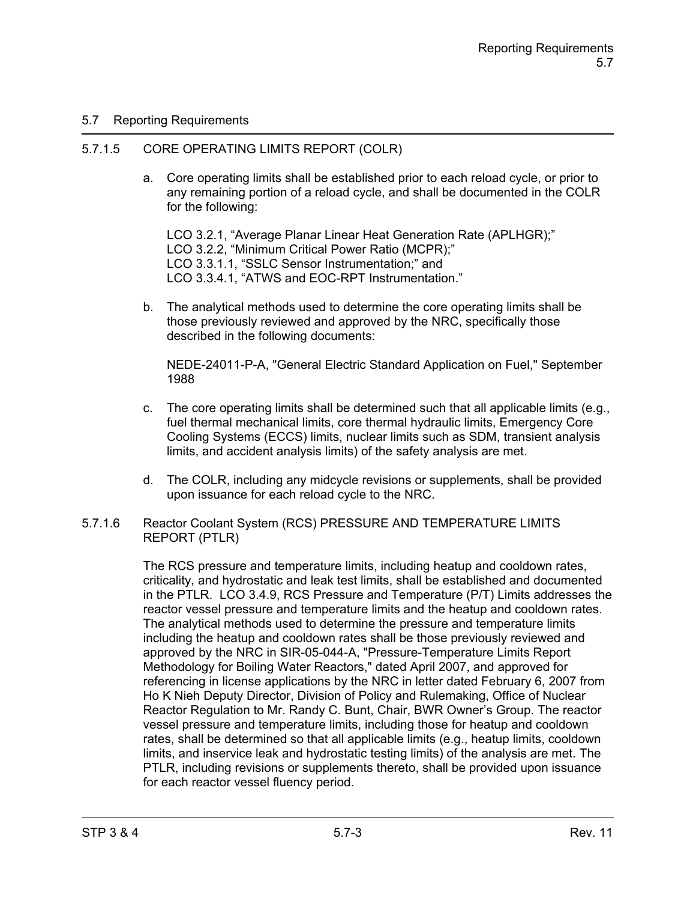# 5.7 Reporting Requirements

### 5.7.1.5 CORE OPERATING LIMITS REPORT (COLR)

a. Core operating limits shall be established prior to each reload cycle, or prior to any remaining portion of a reload cycle, and shall be documented in the COLR for the following:

LCO 3.2.1, "Average Planar Linear Heat Generation Rate (APLHGR);" LCO 3.2.2, "Minimum Critical Power Ratio (MCPR);" LCO 3.3.1.1, "SSLC Sensor Instrumentation;" and LCO 3.3.4.1, "ATWS and EOC-RPT Instrumentation."

b. The analytical methods used to determine the core operating limits shall be those previously reviewed and approved by the NRC, specifically those described in the following documents:

NEDE-24011-P-A, "General Electric Standard Application on Fuel," September 1988

- c. The core operating limits shall be determined such that all applicable limits  $(e.g.,)$ fuel thermal mechanical limits, core thermal hydraulic limits, Emergency Core Cooling Systems (ECCS) limits, nuclear limits such as SDM, transient analysis limits, and accident analysis limits) of the safety analysis are met.
- d. The COLR, including any midcycle revisions or supplements, shall be provided upon issuance for each reload cycle to the NRC.
- 5.7.1.6 Reactor Coolant System (RCS) PRESSURE AND TEMPERATURE LIMITS REPORT (PTLR)

The RCS pressure and temperature limits, including heatup and cooldown rates, criticality, and hydrostatic and leak test limits, shall be established and documented in the PTLR. LCO 3.4.9, RCS Pressure and Temperature (P/T) Limits addresses the reactor vessel pressure and temperature limits and the heatup and cooldown rates. The analytical methods used to determine the pressure and temperature limits including the heatup and cooldown rates shall be those previously reviewed and approved by the NRC in SIR-05-044-A, "Pressure-Temperature Limits Report Methodology for Boiling Water Reactors," dated April 2007, and approved for referencing in license applications by the NRC in letter dated February 6, 2007 from Ho K Nieh Deputy Director, Division of Policy and Rulemaking, Office of Nuclear Reactor Regulation to Mr. Randy C. Bunt, Chair, BWR Owner's Group. The reactor vessel pressure and temperature limits, including those for heatup and cooldown rates, shall be determined so that all applicable limits (e.g., heatup limits, cooldown limits, and inservice leak and hydrostatic testing limits) of the analysis are met. The PTLR, including revisions or supplements thereto, shall be provided upon issuance for each reactor vessel fluency period.